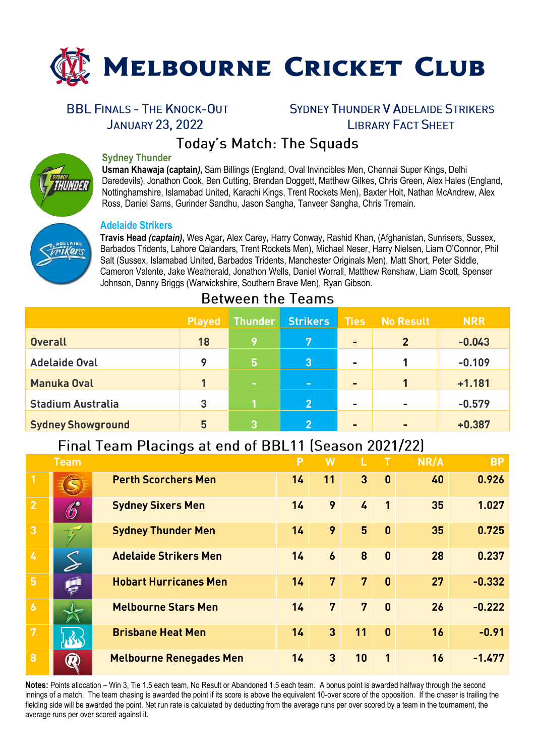

## **BBL FINALS - THE KNOCK-OUT**

**JANUARY 23, 2022** 

## **SYDNEY THUNDER V ADELAIDE STRIKERS LIBRARY FACT SHEFT**

# **Today's Match: The Squads**

### **Sydney Thunder**

**Usman Khawaja (captain***)***,** Sam Billings (England, Oval Invincibles Men, Chennai Super Kings, Delhi Daredevils), Jonathon Cook, Ben Cutting, Brendan Doggett, Matthew Gilkes, Chris Green, Alex Hales (England, Nottinghamshire, Islamabad United, Karachi Kings, Trent Rockets Men), Baxter Holt, Nathan McAndrew, Alex Ross, Daniel Sams, Gurinder Sandhu, Jason Sangha, Tanveer Sangha, Chris Tremain.

#### **Adelaide Strikers**

**Travis Head** *(captain)***,** Wes Agar**,** Alex Carey**,** Harry Conway, Rashid Khan, (Afghanistan, Sunrisers, Sussex, Barbados Tridents, Lahore Qalandars, Trent Rockets Men), Michael Neser, Harry Nielsen, Liam O'Connor, Phil Salt (Sussex, Islamabad United, Barbados Tridents, Manchester Originals Men), Matt Short, Peter Siddle, Cameron Valente, Jake Weatherald, Jonathon Wells, Daniel Worrall, Matthew Renshaw, Liam Scott, Spenser Johnson, Danny Briggs (Warwickshire, Southern Brave Men), Ryan Gibson.

### **Between the Teams**

|                          | Played  | Thunder        | <b>Strikers</b> | <b>Ties</b><br><b>No Result</b> |                | <b>NRR</b> |
|--------------------------|---------|----------------|-----------------|---------------------------------|----------------|------------|
| <b>Overall</b>           | 18      | 9              | <b>7</b>        | $\blacksquare$                  | $\overline{2}$ | $-0.043$   |
| <b>Adelaide Oval</b>     | $\circ$ | l5,            | $\overline{3}$  | $\blacksquare$                  | 1              | $-0.109$   |
| <b>Manuka Oval</b>       |         | <b>Service</b> | $\sim$          | $\blacksquare$                  | 1              | $+1.181$   |
| <b>Stadium Australia</b> | 3       |                | 2 <sup>1</sup>  | $\blacksquare$                  | $\blacksquare$ | $-0.579$   |
| <b>Sydney Showground</b> | 5       | 3              | $\mathbf{Q}$    | $\blacksquare$                  | $\blacksquare$ | $+0.387$   |

# Final Team Placings at end of BBL11 (Season 2021/22)

|                         | <b>Team</b>      |                                | P  |                  |                |              | NR/A | <b>BP</b> |
|-------------------------|------------------|--------------------------------|----|------------------|----------------|--------------|------|-----------|
|                         |                  | <b>Perth Scorchers Men</b>     | 14 | 11               | 3              | $\mathbf{0}$ | 40   | 0.926     |
| $\overline{2}$          | $\bigcirc$       | <b>Sydney Sixers Men</b>       | 14 | 9                | $\frac{1}{2}$  | $\mathbf{1}$ | 35   | 1.027     |
| $\overline{3}$          |                  | <b>Sydney Thunder Men</b>      | 14 | 9                | 5              | $\mathbf{0}$ | 35   | 0.725     |
| $\mathbf{z}$            |                  | <b>Adelaide Strikers Men</b>   | 14 | $\boldsymbol{6}$ | 8              | $\mathbf{0}$ | 28   | 0.237     |
| 5 <sup>1</sup>          |                  | <b>Hobart Hurricanes Men</b>   | 14 | 7                | $\overline{7}$ | $\mathbf{0}$ | 27   | $-0.332$  |
| $\overline{6}$          |                  | <b>Melbourne Stars Men</b>     | 14 | 7                | 7              | $\mathbf{0}$ | 26   | $-0.222$  |
| $\overline{7}$          |                  | <b>Brisbane Heat Men</b>       | 14 | $\overline{3}$   | 11             | $\mathbf{0}$ | 16   | $-0.91$   |
| $\overline{\mathbf{8}}$ | $\boldsymbol{R}$ | <b>Melbourne Renegades Men</b> | 14 | 3                | 10             | $\mathbf{1}$ | 16   | $-1.477$  |

**Notes:** Points allocation – Win 3, Tie 1.5 each team, No Result or Abandoned 1.5 each team. A bonus point is awarded halfway through the second innings of a match. The team chasing is awarded the point if its score is above the equivalent 10-over score of the opposition. If the chaser is trailing the fielding side will be awarded the point. Net run rate is calculated by deducting from the average runs per over scored by a team in the tournament, the average runs per over scored against it.